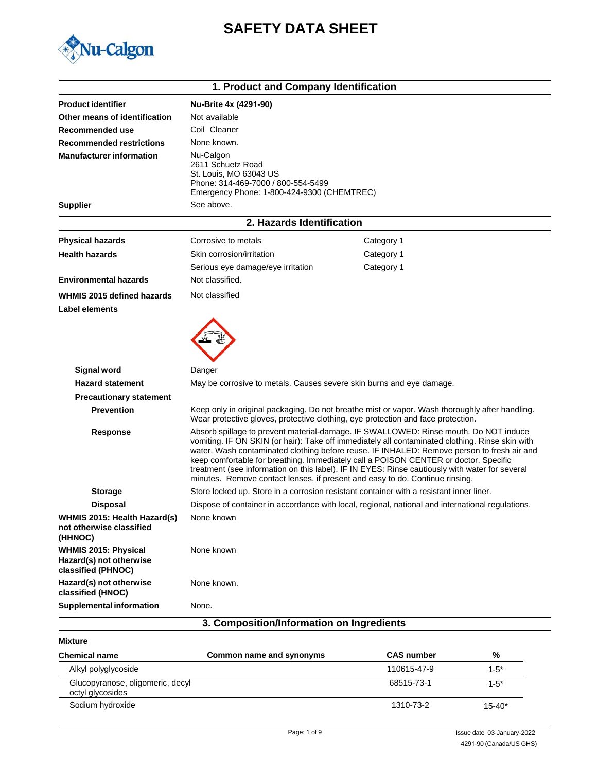# **SAFETY DATA SHEET**



| 1. Product and Company Identification                                        |                                                                                                                                              |                                                                                                                                                                                                                                                                                                                                                                                                                                                                                                                                                                 |  |  |
|------------------------------------------------------------------------------|----------------------------------------------------------------------------------------------------------------------------------------------|-----------------------------------------------------------------------------------------------------------------------------------------------------------------------------------------------------------------------------------------------------------------------------------------------------------------------------------------------------------------------------------------------------------------------------------------------------------------------------------------------------------------------------------------------------------------|--|--|
| <b>Product identifier</b>                                                    | Nu-Brite 4x (4291-90)                                                                                                                        |                                                                                                                                                                                                                                                                                                                                                                                                                                                                                                                                                                 |  |  |
| Other means of identification                                                | Not available                                                                                                                                |                                                                                                                                                                                                                                                                                                                                                                                                                                                                                                                                                                 |  |  |
| Recommended use                                                              | Coil Cleaner                                                                                                                                 |                                                                                                                                                                                                                                                                                                                                                                                                                                                                                                                                                                 |  |  |
| <b>Recommended restrictions</b>                                              | None known.                                                                                                                                  |                                                                                                                                                                                                                                                                                                                                                                                                                                                                                                                                                                 |  |  |
| <b>Manufacturer information</b>                                              | Nu-Calgon<br>2611 Schuetz Road<br>St. Louis, MO 63043 US<br>Phone: 314-469-7000 / 800-554-5499<br>Emergency Phone: 1-800-424-9300 (CHEMTREC) |                                                                                                                                                                                                                                                                                                                                                                                                                                                                                                                                                                 |  |  |
| <b>Supplier</b>                                                              | See above.                                                                                                                                   |                                                                                                                                                                                                                                                                                                                                                                                                                                                                                                                                                                 |  |  |
|                                                                              | 2. Hazards Identification                                                                                                                    |                                                                                                                                                                                                                                                                                                                                                                                                                                                                                                                                                                 |  |  |
| <b>Physical hazards</b>                                                      | Corrosive to metals                                                                                                                          | Category 1                                                                                                                                                                                                                                                                                                                                                                                                                                                                                                                                                      |  |  |
| <b>Health hazards</b>                                                        | Skin corrosion/irritation                                                                                                                    | Category 1                                                                                                                                                                                                                                                                                                                                                                                                                                                                                                                                                      |  |  |
|                                                                              | Serious eye damage/eye irritation                                                                                                            | Category 1                                                                                                                                                                                                                                                                                                                                                                                                                                                                                                                                                      |  |  |
| <b>Environmental hazards</b>                                                 | Not classified.                                                                                                                              |                                                                                                                                                                                                                                                                                                                                                                                                                                                                                                                                                                 |  |  |
| WHMIS 2015 defined hazards                                                   | Not classified                                                                                                                               |                                                                                                                                                                                                                                                                                                                                                                                                                                                                                                                                                                 |  |  |
| <b>Label elements</b>                                                        |                                                                                                                                              |                                                                                                                                                                                                                                                                                                                                                                                                                                                                                                                                                                 |  |  |
| <b>Signal word</b>                                                           | Danger                                                                                                                                       |                                                                                                                                                                                                                                                                                                                                                                                                                                                                                                                                                                 |  |  |
| <b>Hazard statement</b>                                                      | May be corrosive to metals. Causes severe skin burns and eye damage.                                                                         |                                                                                                                                                                                                                                                                                                                                                                                                                                                                                                                                                                 |  |  |
| <b>Precautionary statement</b>                                               |                                                                                                                                              |                                                                                                                                                                                                                                                                                                                                                                                                                                                                                                                                                                 |  |  |
| <b>Prevention</b>                                                            |                                                                                                                                              | Keep only in original packaging. Do not breathe mist or vapor. Wash thoroughly after handling.<br>Wear protective gloves, protective clothing, eye protection and face protection.                                                                                                                                                                                                                                                                                                                                                                              |  |  |
| Response                                                                     |                                                                                                                                              | Absorb spillage to prevent material-damage. IF SWALLOWED: Rinse mouth. Do NOT induce<br>vomiting. IF ON SKIN (or hair): Take off immediately all contaminated clothing. Rinse skin with<br>water. Wash contaminated clothing before reuse. IF INHALED: Remove person to fresh air and<br>keep comfortable for breathing. Immediately call a POISON CENTER or doctor. Specific<br>treatment (see information on this label). IF IN EYES: Rinse cautiously with water for several<br>minutes. Remove contact lenses, if present and easy to do. Continue rinsing. |  |  |
| <b>Storage</b>                                                               |                                                                                                                                              | Store locked up. Store in a corrosion resistant container with a resistant inner liner.                                                                                                                                                                                                                                                                                                                                                                                                                                                                         |  |  |
| <b>Disposal</b>                                                              |                                                                                                                                              | Dispose of container in accordance with local, regional, national and international regulations.                                                                                                                                                                                                                                                                                                                                                                                                                                                                |  |  |
| WHMIS 2015: Health Hazard(s)<br>not otherwise classified<br>(HHNOC)          | None known                                                                                                                                   |                                                                                                                                                                                                                                                                                                                                                                                                                                                                                                                                                                 |  |  |
| <b>WHMIS 2015: Physical</b><br>Hazard(s) not otherwise<br>classified (PHNOC) | None known                                                                                                                                   |                                                                                                                                                                                                                                                                                                                                                                                                                                                                                                                                                                 |  |  |
| Hazard(s) not otherwise<br>classified (HNOC)                                 | None known.                                                                                                                                  |                                                                                                                                                                                                                                                                                                                                                                                                                                                                                                                                                                 |  |  |
| <b>Supplemental information</b>                                              | None.                                                                                                                                        |                                                                                                                                                                                                                                                                                                                                                                                                                                                                                                                                                                 |  |  |
| 3. Composition/Information on Ingredients                                    |                                                                                                                                              |                                                                                                                                                                                                                                                                                                                                                                                                                                                                                                                                                                 |  |  |

**Mixture**

| <b>Chemical name</b>                                 | Common name and synonyms | <b>CAS number</b> | %          |
|------------------------------------------------------|--------------------------|-------------------|------------|
| Alkyl polyglycoside                                  |                          | 110615-47-9       | $1 - 5^*$  |
| Glucopyranose, oligomeric, decyl<br>octyl glycosides |                          | 68515-73-1        | $1 - 5^*$  |
| Sodium hydroxide                                     |                          | 1310-73-2         | $15 - 40*$ |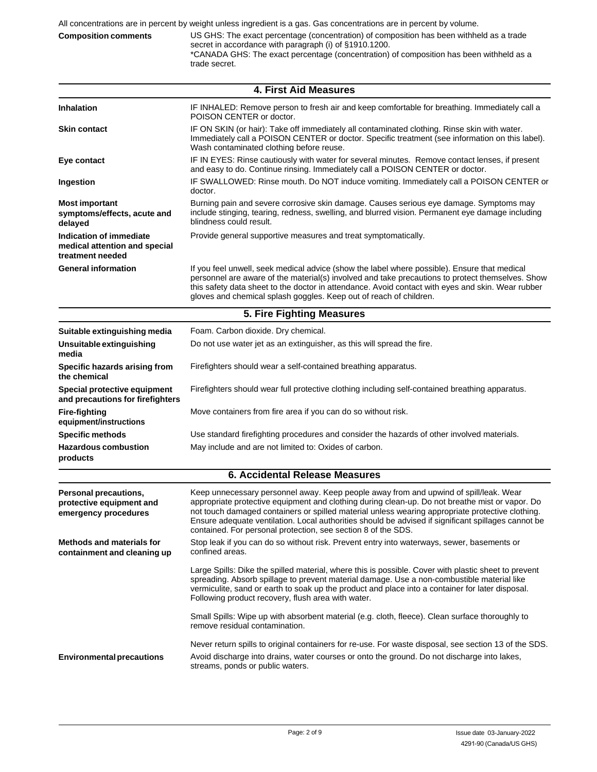**Composition comments** US GHS: The exact percentage (concentration) of composition has been withheld as a trade secret in accordance with paragraph (i) of §1910.1200. \*CANADA GHS: The exact percentage (concentration) of composition has been withheld as a trade secret.

| 4. First Aid Measures                                                        |                                                                                                                                                                                                                                                                                                                                                                                                                                                                      |  |  |  |  |
|------------------------------------------------------------------------------|----------------------------------------------------------------------------------------------------------------------------------------------------------------------------------------------------------------------------------------------------------------------------------------------------------------------------------------------------------------------------------------------------------------------------------------------------------------------|--|--|--|--|
| <b>Inhalation</b>                                                            | IF INHALED: Remove person to fresh air and keep comfortable for breathing. Immediately call a<br>POISON CENTER or doctor.                                                                                                                                                                                                                                                                                                                                            |  |  |  |  |
| <b>Skin contact</b>                                                          | IF ON SKIN (or hair): Take off immediately all contaminated clothing. Rinse skin with water.<br>Immediately call a POISON CENTER or doctor. Specific treatment (see information on this label).<br>Wash contaminated clothing before reuse.                                                                                                                                                                                                                          |  |  |  |  |
| Eye contact                                                                  | IF IN EYES: Rinse cautiously with water for several minutes. Remove contact lenses, if present<br>and easy to do. Continue rinsing. Immediately call a POISON CENTER or doctor.                                                                                                                                                                                                                                                                                      |  |  |  |  |
| Ingestion                                                                    | IF SWALLOWED: Rinse mouth. Do NOT induce vomiting. Immediately call a POISON CENTER or<br>doctor.                                                                                                                                                                                                                                                                                                                                                                    |  |  |  |  |
| <b>Most important</b><br>symptoms/effects, acute and<br>delayed              | Burning pain and severe corrosive skin damage. Causes serious eye damage. Symptoms may<br>include stinging, tearing, redness, swelling, and blurred vision. Permanent eye damage including<br>blindness could result.                                                                                                                                                                                                                                                |  |  |  |  |
| Indication of immediate<br>medical attention and special<br>treatment needed | Provide general supportive measures and treat symptomatically.                                                                                                                                                                                                                                                                                                                                                                                                       |  |  |  |  |
| <b>General information</b>                                                   | If you feel unwell, seek medical advice (show the label where possible). Ensure that medical<br>personnel are aware of the material(s) involved and take precautions to protect themselves. Show<br>this safety data sheet to the doctor in attendance. Avoid contact with eyes and skin. Wear rubber<br>gloves and chemical splash goggles. Keep out of reach of children.                                                                                          |  |  |  |  |
|                                                                              | 5. Fire Fighting Measures                                                                                                                                                                                                                                                                                                                                                                                                                                            |  |  |  |  |
| Suitable extinguishing media                                                 | Foam. Carbon dioxide. Dry chemical.                                                                                                                                                                                                                                                                                                                                                                                                                                  |  |  |  |  |
| Unsuitable extinguishing<br>media                                            | Do not use water jet as an extinguisher, as this will spread the fire.                                                                                                                                                                                                                                                                                                                                                                                               |  |  |  |  |
| Specific hazards arising from<br>the chemical                                | Firefighters should wear a self-contained breathing apparatus.                                                                                                                                                                                                                                                                                                                                                                                                       |  |  |  |  |
| Special protective equipment<br>and precautions for firefighters             | Firefighters should wear full protective clothing including self-contained breathing apparatus.                                                                                                                                                                                                                                                                                                                                                                      |  |  |  |  |
| <b>Fire-fighting</b><br>equipment/instructions                               | Move containers from fire area if you can do so without risk.                                                                                                                                                                                                                                                                                                                                                                                                        |  |  |  |  |
| <b>Specific methods</b>                                                      | Use standard firefighting procedures and consider the hazards of other involved materials.                                                                                                                                                                                                                                                                                                                                                                           |  |  |  |  |
| <b>Hazardous combustion</b><br>products                                      | May include and are not limited to: Oxides of carbon.                                                                                                                                                                                                                                                                                                                                                                                                                |  |  |  |  |
|                                                                              | <b>6. Accidental Release Measures</b>                                                                                                                                                                                                                                                                                                                                                                                                                                |  |  |  |  |
| Personal precautions,<br>protective equipment and<br>emergency procedures    | Keep unnecessary personnel away. Keep people away from and upwind of spill/leak. Wear<br>appropriate protective equipment and clothing during clean-up. Do not breathe mist or vapor. Do<br>not touch damaged containers or spilled material unless wearing appropriate protective clothing.<br>Ensure adequate ventilation. Local authorities should be advised if significant spillages cannot be<br>contained. For personal protection, see section 8 of the SDS. |  |  |  |  |
| <b>Methods and materials for</b><br>containment and cleaning up              | Stop leak if you can do so without risk. Prevent entry into waterways, sewer, basements or<br>confined areas.                                                                                                                                                                                                                                                                                                                                                        |  |  |  |  |
|                                                                              | Large Spills: Dike the spilled material, where this is possible. Cover with plastic sheet to prevent<br>spreading. Absorb spillage to prevent material damage. Use a non-combustible material like<br>vermiculite, sand or earth to soak up the product and place into a container for later disposal.<br>Following product recovery, flush area with water.                                                                                                         |  |  |  |  |
|                                                                              | Small Spills: Wipe up with absorbent material (e.g. cloth, fleece). Clean surface thoroughly to<br>remove residual contamination.                                                                                                                                                                                                                                                                                                                                    |  |  |  |  |
| <b>Environmental precautions</b>                                             | Never return spills to original containers for re-use. For waste disposal, see section 13 of the SDS.<br>Avoid discharge into drains, water courses or onto the ground. Do not discharge into lakes,<br>streams, ponds or public waters.                                                                                                                                                                                                                             |  |  |  |  |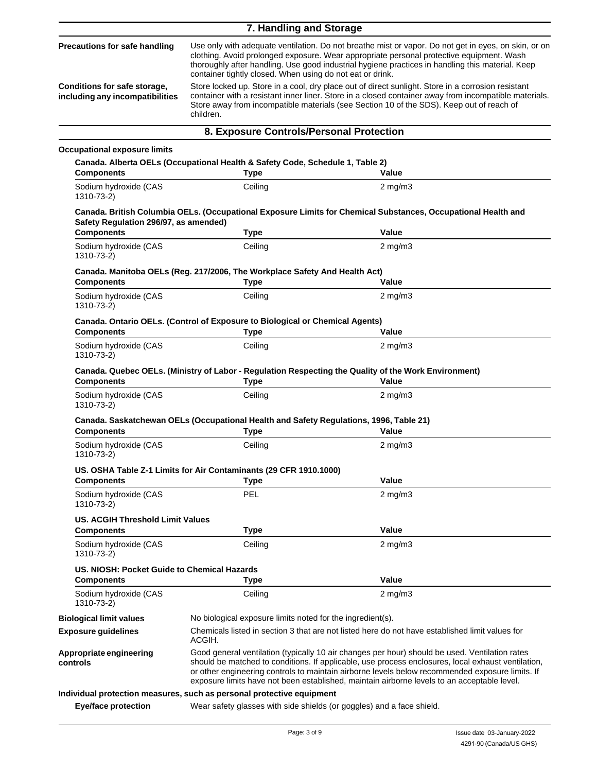| Precautions for safe handling<br>clothing. Avoid prolonged exposure. Wear appropriate personal protective equipment. Wash<br>thoroughly after handling. Use good industrial hygiene practices in handling this material. Keep<br>container tightly closed. When using do not eat or drink.<br>Store locked up. Store in a cool, dry place out of direct sunlight. Store in a corrosion resistant<br>Conditions for safe storage,<br>including any incompatibilities<br>Store away from incompatible materials (see Section 10 of the SDS). Keep out of reach of<br>children.<br>8. Exposure Controls/Personal Protection<br><b>Occupational exposure limits</b><br>Canada. Alberta OELs (Occupational Health & Safety Code, Schedule 1, Table 2)<br><b>Components</b><br><b>Type</b><br>Value<br>Ceiling<br>Sodium hydroxide (CAS<br>$2 \text{ mg/m}$<br>1310-73-2)<br>Canada. British Columbia OELs. (Occupational Exposure Limits for Chemical Substances, Occupational Health and<br>Safety Regulation 296/97, as amended)<br><b>Components</b><br>Value<br><b>Type</b><br>Ceiling<br>$2 \text{ mg/m}$<br>Sodium hydroxide (CAS<br>1310-73-2)<br>Canada. Manitoba OELs (Reg. 217/2006, The Workplace Safety And Health Act)<br>Value<br><b>Components</b><br><b>Type</b><br>Ceiling<br>Sodium hydroxide (CAS<br>$2 \text{ mg/m}$ 3<br>1310-73-2)<br><b>Canada. Ontario OELs. (Control of Exposure to Biological or Chemical Agents)</b><br><b>Components</b><br>Value<br><b>Type</b><br>Ceiling<br>Sodium hydroxide (CAS<br>$2$ mg/m $3$<br>1310-73-2)<br>Canada. Quebec OELs. (Ministry of Labor - Regulation Respecting the Quality of the Work Environment)<br><b>Components</b><br>Value<br><b>Type</b><br>Ceiling<br>$2$ mg/m $3$<br>Sodium hydroxide (CAS<br>1310-73-2)<br>Canada. Saskatchewan OELs (Occupational Health and Safety Regulations, 1996, Table 21)<br>Value<br><b>Components</b><br><b>Type</b><br>Sodium hydroxide (CAS<br>Ceiling<br>$2 \text{ mg/m}$<br>1310-73-2)<br>US. OSHA Table Z-1 Limits for Air Contaminants (29 CFR 1910.1000)<br>Value<br><b>Components</b><br>Type<br><b>PEL</b><br>$2$ mg/m $3$<br>Sodium hydroxide (CAS<br>1310-73-2)<br>US. ACGIH Threshold Limit Values<br>Value<br><b>Components</b><br><b>Type</b><br>Ceiling<br>Sodium hydroxide (CAS<br>$2$ mg/m $3$<br>1310-73-2)<br>US, NIOSH: Pocket Guide to Chemical Hazards<br>Value<br><b>Components</b><br><b>Type</b><br>Ceiling<br>Sodium hydroxide (CAS<br>$2$ mg/m $3$<br>1310-73-2)<br>No biological exposure limits noted for the ingredient(s).<br><b>Biological limit values</b><br>Chemicals listed in section 3 that are not listed here do not have established limit values for<br><b>Exposure guidelines</b><br>ACGIH.<br>Good general ventilation (typically 10 air changes per hour) should be used. Ventilation rates<br>Appropriate engineering<br>should be matched to conditions. If applicable, use process enclosures, local exhaust ventilation,<br>controls<br>or other engineering controls to maintain airborne levels below recommended exposure limits. If | 7. Handling and Storage                                                                                                                                                                                       |  |  |
|---------------------------------------------------------------------------------------------------------------------------------------------------------------------------------------------------------------------------------------------------------------------------------------------------------------------------------------------------------------------------------------------------------------------------------------------------------------------------------------------------------------------------------------------------------------------------------------------------------------------------------------------------------------------------------------------------------------------------------------------------------------------------------------------------------------------------------------------------------------------------------------------------------------------------------------------------------------------------------------------------------------------------------------------------------------------------------------------------------------------------------------------------------------------------------------------------------------------------------------------------------------------------------------------------------------------------------------------------------------------------------------------------------------------------------------------------------------------------------------------------------------------------------------------------------------------------------------------------------------------------------------------------------------------------------------------------------------------------------------------------------------------------------------------------------------------------------------------------------------------------------------------------------------------------------------------------------------------------------------------------------------------------------------------------------------------------------------------------------------------------------------------------------------------------------------------------------------------------------------------------------------------------------------------------------------------------------------------------------------------------------------------------------------------------------------------------------------------------------------------------------------------------------------------------------------------------------------------------------------------------------------------------------------------------------------------------------------------------------------------------------------------------------------------------------------------------------------------------------------------------------------------------------------------------------------------------------------------------------------------------------------------------------------------------------------------------------------------|---------------------------------------------------------------------------------------------------------------------------------------------------------------------------------------------------------------|--|--|
|                                                                                                                                                                                                                                                                                                                                                                                                                                                                                                                                                                                                                                                                                                                                                                                                                                                                                                                                                                                                                                                                                                                                                                                                                                                                                                                                                                                                                                                                                                                                                                                                                                                                                                                                                                                                                                                                                                                                                                                                                                                                                                                                                                                                                                                                                                                                                                                                                                                                                                                                                                                                                                                                                                                                                                                                                                                                                                                                                                                                                                                                                             | Use only with adequate ventilation. Do not breathe mist or vapor. Do not get in eyes, on skin, or on<br>container with a resistant inner liner. Store in a closed container away from incompatible materials. |  |  |
|                                                                                                                                                                                                                                                                                                                                                                                                                                                                                                                                                                                                                                                                                                                                                                                                                                                                                                                                                                                                                                                                                                                                                                                                                                                                                                                                                                                                                                                                                                                                                                                                                                                                                                                                                                                                                                                                                                                                                                                                                                                                                                                                                                                                                                                                                                                                                                                                                                                                                                                                                                                                                                                                                                                                                                                                                                                                                                                                                                                                                                                                                             |                                                                                                                                                                                                               |  |  |
|                                                                                                                                                                                                                                                                                                                                                                                                                                                                                                                                                                                                                                                                                                                                                                                                                                                                                                                                                                                                                                                                                                                                                                                                                                                                                                                                                                                                                                                                                                                                                                                                                                                                                                                                                                                                                                                                                                                                                                                                                                                                                                                                                                                                                                                                                                                                                                                                                                                                                                                                                                                                                                                                                                                                                                                                                                                                                                                                                                                                                                                                                             |                                                                                                                                                                                                               |  |  |
|                                                                                                                                                                                                                                                                                                                                                                                                                                                                                                                                                                                                                                                                                                                                                                                                                                                                                                                                                                                                                                                                                                                                                                                                                                                                                                                                                                                                                                                                                                                                                                                                                                                                                                                                                                                                                                                                                                                                                                                                                                                                                                                                                                                                                                                                                                                                                                                                                                                                                                                                                                                                                                                                                                                                                                                                                                                                                                                                                                                                                                                                                             |                                                                                                                                                                                                               |  |  |
|                                                                                                                                                                                                                                                                                                                                                                                                                                                                                                                                                                                                                                                                                                                                                                                                                                                                                                                                                                                                                                                                                                                                                                                                                                                                                                                                                                                                                                                                                                                                                                                                                                                                                                                                                                                                                                                                                                                                                                                                                                                                                                                                                                                                                                                                                                                                                                                                                                                                                                                                                                                                                                                                                                                                                                                                                                                                                                                                                                                                                                                                                             |                                                                                                                                                                                                               |  |  |
|                                                                                                                                                                                                                                                                                                                                                                                                                                                                                                                                                                                                                                                                                                                                                                                                                                                                                                                                                                                                                                                                                                                                                                                                                                                                                                                                                                                                                                                                                                                                                                                                                                                                                                                                                                                                                                                                                                                                                                                                                                                                                                                                                                                                                                                                                                                                                                                                                                                                                                                                                                                                                                                                                                                                                                                                                                                                                                                                                                                                                                                                                             |                                                                                                                                                                                                               |  |  |
|                                                                                                                                                                                                                                                                                                                                                                                                                                                                                                                                                                                                                                                                                                                                                                                                                                                                                                                                                                                                                                                                                                                                                                                                                                                                                                                                                                                                                                                                                                                                                                                                                                                                                                                                                                                                                                                                                                                                                                                                                                                                                                                                                                                                                                                                                                                                                                                                                                                                                                                                                                                                                                                                                                                                                                                                                                                                                                                                                                                                                                                                                             |                                                                                                                                                                                                               |  |  |
|                                                                                                                                                                                                                                                                                                                                                                                                                                                                                                                                                                                                                                                                                                                                                                                                                                                                                                                                                                                                                                                                                                                                                                                                                                                                                                                                                                                                                                                                                                                                                                                                                                                                                                                                                                                                                                                                                                                                                                                                                                                                                                                                                                                                                                                                                                                                                                                                                                                                                                                                                                                                                                                                                                                                                                                                                                                                                                                                                                                                                                                                                             |                                                                                                                                                                                                               |  |  |
|                                                                                                                                                                                                                                                                                                                                                                                                                                                                                                                                                                                                                                                                                                                                                                                                                                                                                                                                                                                                                                                                                                                                                                                                                                                                                                                                                                                                                                                                                                                                                                                                                                                                                                                                                                                                                                                                                                                                                                                                                                                                                                                                                                                                                                                                                                                                                                                                                                                                                                                                                                                                                                                                                                                                                                                                                                                                                                                                                                                                                                                                                             |                                                                                                                                                                                                               |  |  |
|                                                                                                                                                                                                                                                                                                                                                                                                                                                                                                                                                                                                                                                                                                                                                                                                                                                                                                                                                                                                                                                                                                                                                                                                                                                                                                                                                                                                                                                                                                                                                                                                                                                                                                                                                                                                                                                                                                                                                                                                                                                                                                                                                                                                                                                                                                                                                                                                                                                                                                                                                                                                                                                                                                                                                                                                                                                                                                                                                                                                                                                                                             |                                                                                                                                                                                                               |  |  |
|                                                                                                                                                                                                                                                                                                                                                                                                                                                                                                                                                                                                                                                                                                                                                                                                                                                                                                                                                                                                                                                                                                                                                                                                                                                                                                                                                                                                                                                                                                                                                                                                                                                                                                                                                                                                                                                                                                                                                                                                                                                                                                                                                                                                                                                                                                                                                                                                                                                                                                                                                                                                                                                                                                                                                                                                                                                                                                                                                                                                                                                                                             |                                                                                                                                                                                                               |  |  |
|                                                                                                                                                                                                                                                                                                                                                                                                                                                                                                                                                                                                                                                                                                                                                                                                                                                                                                                                                                                                                                                                                                                                                                                                                                                                                                                                                                                                                                                                                                                                                                                                                                                                                                                                                                                                                                                                                                                                                                                                                                                                                                                                                                                                                                                                                                                                                                                                                                                                                                                                                                                                                                                                                                                                                                                                                                                                                                                                                                                                                                                                                             |                                                                                                                                                                                                               |  |  |
|                                                                                                                                                                                                                                                                                                                                                                                                                                                                                                                                                                                                                                                                                                                                                                                                                                                                                                                                                                                                                                                                                                                                                                                                                                                                                                                                                                                                                                                                                                                                                                                                                                                                                                                                                                                                                                                                                                                                                                                                                                                                                                                                                                                                                                                                                                                                                                                                                                                                                                                                                                                                                                                                                                                                                                                                                                                                                                                                                                                                                                                                                             |                                                                                                                                                                                                               |  |  |
|                                                                                                                                                                                                                                                                                                                                                                                                                                                                                                                                                                                                                                                                                                                                                                                                                                                                                                                                                                                                                                                                                                                                                                                                                                                                                                                                                                                                                                                                                                                                                                                                                                                                                                                                                                                                                                                                                                                                                                                                                                                                                                                                                                                                                                                                                                                                                                                                                                                                                                                                                                                                                                                                                                                                                                                                                                                                                                                                                                                                                                                                                             |                                                                                                                                                                                                               |  |  |
|                                                                                                                                                                                                                                                                                                                                                                                                                                                                                                                                                                                                                                                                                                                                                                                                                                                                                                                                                                                                                                                                                                                                                                                                                                                                                                                                                                                                                                                                                                                                                                                                                                                                                                                                                                                                                                                                                                                                                                                                                                                                                                                                                                                                                                                                                                                                                                                                                                                                                                                                                                                                                                                                                                                                                                                                                                                                                                                                                                                                                                                                                             |                                                                                                                                                                                                               |  |  |
|                                                                                                                                                                                                                                                                                                                                                                                                                                                                                                                                                                                                                                                                                                                                                                                                                                                                                                                                                                                                                                                                                                                                                                                                                                                                                                                                                                                                                                                                                                                                                                                                                                                                                                                                                                                                                                                                                                                                                                                                                                                                                                                                                                                                                                                                                                                                                                                                                                                                                                                                                                                                                                                                                                                                                                                                                                                                                                                                                                                                                                                                                             |                                                                                                                                                                                                               |  |  |
|                                                                                                                                                                                                                                                                                                                                                                                                                                                                                                                                                                                                                                                                                                                                                                                                                                                                                                                                                                                                                                                                                                                                                                                                                                                                                                                                                                                                                                                                                                                                                                                                                                                                                                                                                                                                                                                                                                                                                                                                                                                                                                                                                                                                                                                                                                                                                                                                                                                                                                                                                                                                                                                                                                                                                                                                                                                                                                                                                                                                                                                                                             |                                                                                                                                                                                                               |  |  |
|                                                                                                                                                                                                                                                                                                                                                                                                                                                                                                                                                                                                                                                                                                                                                                                                                                                                                                                                                                                                                                                                                                                                                                                                                                                                                                                                                                                                                                                                                                                                                                                                                                                                                                                                                                                                                                                                                                                                                                                                                                                                                                                                                                                                                                                                                                                                                                                                                                                                                                                                                                                                                                                                                                                                                                                                                                                                                                                                                                                                                                                                                             |                                                                                                                                                                                                               |  |  |
|                                                                                                                                                                                                                                                                                                                                                                                                                                                                                                                                                                                                                                                                                                                                                                                                                                                                                                                                                                                                                                                                                                                                                                                                                                                                                                                                                                                                                                                                                                                                                                                                                                                                                                                                                                                                                                                                                                                                                                                                                                                                                                                                                                                                                                                                                                                                                                                                                                                                                                                                                                                                                                                                                                                                                                                                                                                                                                                                                                                                                                                                                             |                                                                                                                                                                                                               |  |  |
|                                                                                                                                                                                                                                                                                                                                                                                                                                                                                                                                                                                                                                                                                                                                                                                                                                                                                                                                                                                                                                                                                                                                                                                                                                                                                                                                                                                                                                                                                                                                                                                                                                                                                                                                                                                                                                                                                                                                                                                                                                                                                                                                                                                                                                                                                                                                                                                                                                                                                                                                                                                                                                                                                                                                                                                                                                                                                                                                                                                                                                                                                             |                                                                                                                                                                                                               |  |  |
|                                                                                                                                                                                                                                                                                                                                                                                                                                                                                                                                                                                                                                                                                                                                                                                                                                                                                                                                                                                                                                                                                                                                                                                                                                                                                                                                                                                                                                                                                                                                                                                                                                                                                                                                                                                                                                                                                                                                                                                                                                                                                                                                                                                                                                                                                                                                                                                                                                                                                                                                                                                                                                                                                                                                                                                                                                                                                                                                                                                                                                                                                             |                                                                                                                                                                                                               |  |  |
|                                                                                                                                                                                                                                                                                                                                                                                                                                                                                                                                                                                                                                                                                                                                                                                                                                                                                                                                                                                                                                                                                                                                                                                                                                                                                                                                                                                                                                                                                                                                                                                                                                                                                                                                                                                                                                                                                                                                                                                                                                                                                                                                                                                                                                                                                                                                                                                                                                                                                                                                                                                                                                                                                                                                                                                                                                                                                                                                                                                                                                                                                             |                                                                                                                                                                                                               |  |  |
|                                                                                                                                                                                                                                                                                                                                                                                                                                                                                                                                                                                                                                                                                                                                                                                                                                                                                                                                                                                                                                                                                                                                                                                                                                                                                                                                                                                                                                                                                                                                                                                                                                                                                                                                                                                                                                                                                                                                                                                                                                                                                                                                                                                                                                                                                                                                                                                                                                                                                                                                                                                                                                                                                                                                                                                                                                                                                                                                                                                                                                                                                             |                                                                                                                                                                                                               |  |  |
|                                                                                                                                                                                                                                                                                                                                                                                                                                                                                                                                                                                                                                                                                                                                                                                                                                                                                                                                                                                                                                                                                                                                                                                                                                                                                                                                                                                                                                                                                                                                                                                                                                                                                                                                                                                                                                                                                                                                                                                                                                                                                                                                                                                                                                                                                                                                                                                                                                                                                                                                                                                                                                                                                                                                                                                                                                                                                                                                                                                                                                                                                             |                                                                                                                                                                                                               |  |  |
|                                                                                                                                                                                                                                                                                                                                                                                                                                                                                                                                                                                                                                                                                                                                                                                                                                                                                                                                                                                                                                                                                                                                                                                                                                                                                                                                                                                                                                                                                                                                                                                                                                                                                                                                                                                                                                                                                                                                                                                                                                                                                                                                                                                                                                                                                                                                                                                                                                                                                                                                                                                                                                                                                                                                                                                                                                                                                                                                                                                                                                                                                             |                                                                                                                                                                                                               |  |  |
|                                                                                                                                                                                                                                                                                                                                                                                                                                                                                                                                                                                                                                                                                                                                                                                                                                                                                                                                                                                                                                                                                                                                                                                                                                                                                                                                                                                                                                                                                                                                                                                                                                                                                                                                                                                                                                                                                                                                                                                                                                                                                                                                                                                                                                                                                                                                                                                                                                                                                                                                                                                                                                                                                                                                                                                                                                                                                                                                                                                                                                                                                             |                                                                                                                                                                                                               |  |  |
|                                                                                                                                                                                                                                                                                                                                                                                                                                                                                                                                                                                                                                                                                                                                                                                                                                                                                                                                                                                                                                                                                                                                                                                                                                                                                                                                                                                                                                                                                                                                                                                                                                                                                                                                                                                                                                                                                                                                                                                                                                                                                                                                                                                                                                                                                                                                                                                                                                                                                                                                                                                                                                                                                                                                                                                                                                                                                                                                                                                                                                                                                             |                                                                                                                                                                                                               |  |  |
|                                                                                                                                                                                                                                                                                                                                                                                                                                                                                                                                                                                                                                                                                                                                                                                                                                                                                                                                                                                                                                                                                                                                                                                                                                                                                                                                                                                                                                                                                                                                                                                                                                                                                                                                                                                                                                                                                                                                                                                                                                                                                                                                                                                                                                                                                                                                                                                                                                                                                                                                                                                                                                                                                                                                                                                                                                                                                                                                                                                                                                                                                             |                                                                                                                                                                                                               |  |  |
|                                                                                                                                                                                                                                                                                                                                                                                                                                                                                                                                                                                                                                                                                                                                                                                                                                                                                                                                                                                                                                                                                                                                                                                                                                                                                                                                                                                                                                                                                                                                                                                                                                                                                                                                                                                                                                                                                                                                                                                                                                                                                                                                                                                                                                                                                                                                                                                                                                                                                                                                                                                                                                                                                                                                                                                                                                                                                                                                                                                                                                                                                             |                                                                                                                                                                                                               |  |  |
|                                                                                                                                                                                                                                                                                                                                                                                                                                                                                                                                                                                                                                                                                                                                                                                                                                                                                                                                                                                                                                                                                                                                                                                                                                                                                                                                                                                                                                                                                                                                                                                                                                                                                                                                                                                                                                                                                                                                                                                                                                                                                                                                                                                                                                                                                                                                                                                                                                                                                                                                                                                                                                                                                                                                                                                                                                                                                                                                                                                                                                                                                             |                                                                                                                                                                                                               |  |  |
|                                                                                                                                                                                                                                                                                                                                                                                                                                                                                                                                                                                                                                                                                                                                                                                                                                                                                                                                                                                                                                                                                                                                                                                                                                                                                                                                                                                                                                                                                                                                                                                                                                                                                                                                                                                                                                                                                                                                                                                                                                                                                                                                                                                                                                                                                                                                                                                                                                                                                                                                                                                                                                                                                                                                                                                                                                                                                                                                                                                                                                                                                             |                                                                                                                                                                                                               |  |  |
| exposure limits have not been established, maintain airborne levels to an acceptable level.                                                                                                                                                                                                                                                                                                                                                                                                                                                                                                                                                                                                                                                                                                                                                                                                                                                                                                                                                                                                                                                                                                                                                                                                                                                                                                                                                                                                                                                                                                                                                                                                                                                                                                                                                                                                                                                                                                                                                                                                                                                                                                                                                                                                                                                                                                                                                                                                                                                                                                                                                                                                                                                                                                                                                                                                                                                                                                                                                                                                 |                                                                                                                                                                                                               |  |  |
| Individual protection measures, such as personal protective equipment<br><b>Eye/face protection</b><br>Wear safety glasses with side shields (or goggles) and a face shield.                                                                                                                                                                                                                                                                                                                                                                                                                                                                                                                                                                                                                                                                                                                                                                                                                                                                                                                                                                                                                                                                                                                                                                                                                                                                                                                                                                                                                                                                                                                                                                                                                                                                                                                                                                                                                                                                                                                                                                                                                                                                                                                                                                                                                                                                                                                                                                                                                                                                                                                                                                                                                                                                                                                                                                                                                                                                                                                |                                                                                                                                                                                                               |  |  |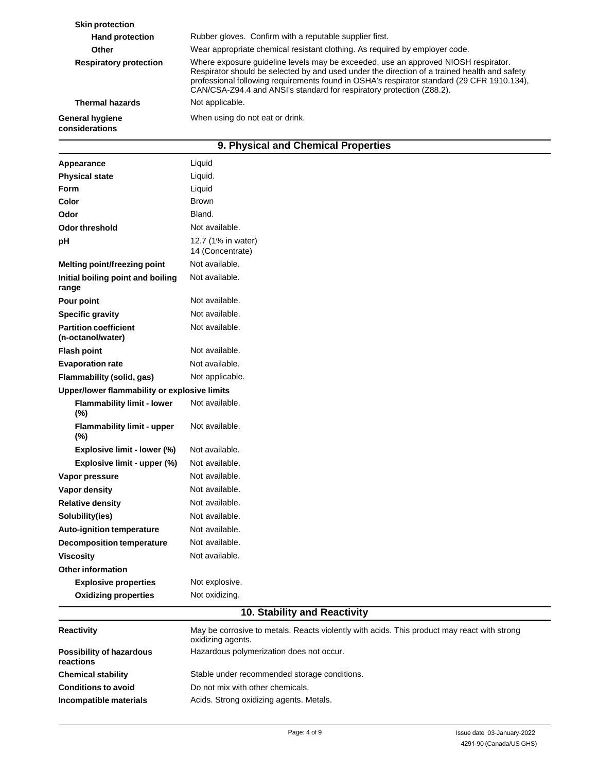| <b>Skin protection</b>                   |                                                                                                                                                                                                                                                                                                                                                           |
|------------------------------------------|-----------------------------------------------------------------------------------------------------------------------------------------------------------------------------------------------------------------------------------------------------------------------------------------------------------------------------------------------------------|
| <b>Hand protection</b>                   | Rubber gloves. Confirm with a reputable supplier first.                                                                                                                                                                                                                                                                                                   |
| Other                                    | Wear appropriate chemical resistant clothing. As required by employer code.                                                                                                                                                                                                                                                                               |
| <b>Respiratory protection</b>            | Where exposure guideline levels may be exceeded, use an approved NIOSH respirator.<br>Respirator should be selected by and used under the direction of a trained health and safety<br>professional following requirements found in OSHA's respirator standard (29 CFR 1910.134),<br>CAN/CSA-Z94.4 and ANSI's standard for respiratory protection (Z88.2). |
| <b>Thermal hazards</b>                   | Not applicable.                                                                                                                                                                                                                                                                                                                                           |
| <b>General hygiene</b><br>considerations | When using do not eat or drink.                                                                                                                                                                                                                                                                                                                           |
|                                          | .<br>$\sim$ $\sim$                                                                                                                                                                                                                                                                                                                                        |

## **9. Physical and Chemical Properties**

| Appearance                                        | Liquid                                                                                                         |  |  |  |
|---------------------------------------------------|----------------------------------------------------------------------------------------------------------------|--|--|--|
| <b>Physical state</b>                             | Liquid.                                                                                                        |  |  |  |
| <b>Form</b>                                       | Liquid                                                                                                         |  |  |  |
| Color                                             | <b>Brown</b>                                                                                                   |  |  |  |
| Odor                                              | Bland.                                                                                                         |  |  |  |
| Odor threshold                                    | Not available.                                                                                                 |  |  |  |
| pH                                                | 12.7 (1% in water)<br>14 (Concentrate)                                                                         |  |  |  |
| Melting point/freezing point                      | Not available.                                                                                                 |  |  |  |
| Initial boiling point and boiling<br>range        | Not available.                                                                                                 |  |  |  |
| Pour point                                        | Not available.                                                                                                 |  |  |  |
| <b>Specific gravity</b>                           | Not available.                                                                                                 |  |  |  |
| <b>Partition coefficient</b><br>(n-octanol/water) | Not available.                                                                                                 |  |  |  |
| <b>Flash point</b>                                | Not available.                                                                                                 |  |  |  |
| <b>Evaporation rate</b>                           | Not available.                                                                                                 |  |  |  |
| Flammability (solid, gas)                         | Not applicable.                                                                                                |  |  |  |
| Upper/lower flammability or explosive limits      |                                                                                                                |  |  |  |
| <b>Flammability limit - lower</b><br>(%)          | Not available.                                                                                                 |  |  |  |
| <b>Flammability limit - upper</b><br>(%)          | Not available.                                                                                                 |  |  |  |
| Explosive limit - lower (%)                       | Not available.                                                                                                 |  |  |  |
| Explosive limit - upper (%)                       | Not available.                                                                                                 |  |  |  |
| Vapor pressure                                    | Not available.                                                                                                 |  |  |  |
| Vapor density                                     | Not available.                                                                                                 |  |  |  |
| <b>Relative density</b>                           | Not available.                                                                                                 |  |  |  |
| Solubility(ies)                                   | Not available.                                                                                                 |  |  |  |
| <b>Auto-ignition temperature</b>                  | Not available.                                                                                                 |  |  |  |
| <b>Decomposition temperature</b>                  | Not available.                                                                                                 |  |  |  |
| <b>Viscosity</b>                                  | Not available.                                                                                                 |  |  |  |
| <b>Other information</b>                          |                                                                                                                |  |  |  |
| <b>Explosive properties</b>                       | Not explosive.                                                                                                 |  |  |  |
| <b>Oxidizing properties</b>                       | Not oxidizing.<br>$\overline{AB}$ $\overline{BC}$<br>$\overline{1}$ m $\overline{1}$<br><b>Alberta Control</b> |  |  |  |

#### **10. Stability and Reactivity**

| <b>Reactivity</b>                            | May be corrosive to metals. Reacts violently with acids. This product may react with strong<br>oxidizing agents. |
|----------------------------------------------|------------------------------------------------------------------------------------------------------------------|
| <b>Possibility of hazardous</b><br>reactions | Hazardous polymerization does not occur.                                                                         |
| <b>Chemical stability</b>                    | Stable under recommended storage conditions.                                                                     |
| <b>Conditions to avoid</b>                   | Do not mix with other chemicals.                                                                                 |
| Incompatible materials                       | Acids. Strong oxidizing agents. Metals.                                                                          |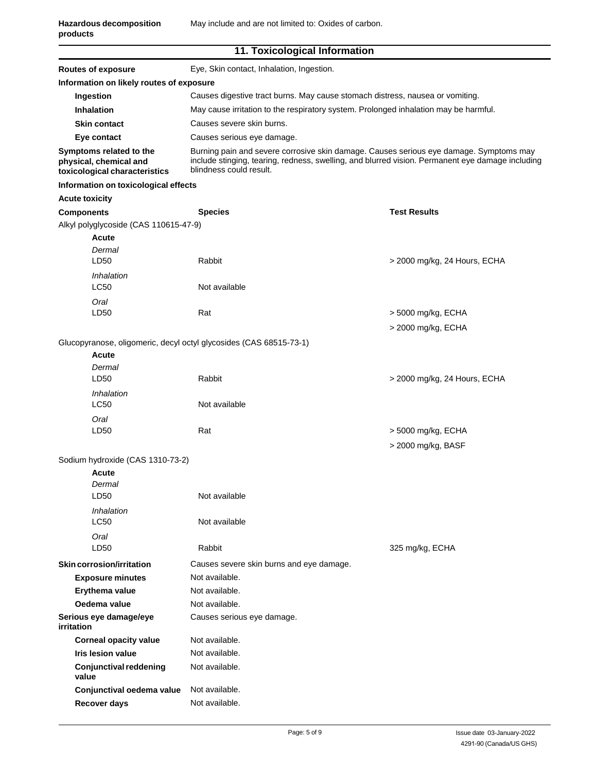| 11. Toxicological Information |  |  |  |  |
|-------------------------------|--|--|--|--|
|-------------------------------|--|--|--|--|

| <b>Routes of exposure</b>                                                          | Eye, Skin contact, Inhalation, Ingestion.                                                                                                                                                                             |                              |  |  |
|------------------------------------------------------------------------------------|-----------------------------------------------------------------------------------------------------------------------------------------------------------------------------------------------------------------------|------------------------------|--|--|
| Information on likely routes of exposure                                           |                                                                                                                                                                                                                       |                              |  |  |
| Ingestion                                                                          | Causes digestive tract burns. May cause stomach distress, nausea or vomiting.                                                                                                                                         |                              |  |  |
| <b>Inhalation</b>                                                                  | May cause irritation to the respiratory system. Prolonged inhalation may be harmful.                                                                                                                                  |                              |  |  |
| <b>Skin contact</b>                                                                | Causes severe skin burns.                                                                                                                                                                                             |                              |  |  |
| Eye contact                                                                        | Causes serious eye damage.                                                                                                                                                                                            |                              |  |  |
| Symptoms related to the<br>physical, chemical and<br>toxicological characteristics | Burning pain and severe corrosive skin damage. Causes serious eye damage. Symptoms may<br>include stinging, tearing, redness, swelling, and blurred vision. Permanent eye damage including<br>blindness could result. |                              |  |  |
| Information on toxicological effects                                               |                                                                                                                                                                                                                       |                              |  |  |
| <b>Acute toxicity</b>                                                              |                                                                                                                                                                                                                       |                              |  |  |
| <b>Components</b>                                                                  | <b>Species</b>                                                                                                                                                                                                        | <b>Test Results</b>          |  |  |
| Alkyl polyglycoside (CAS 110615-47-9)                                              |                                                                                                                                                                                                                       |                              |  |  |
| Acute                                                                              |                                                                                                                                                                                                                       |                              |  |  |
| Dermal                                                                             |                                                                                                                                                                                                                       |                              |  |  |
| LD <sub>50</sub>                                                                   | Rabbit                                                                                                                                                                                                                | > 2000 mg/kg, 24 Hours, ECHA |  |  |
| Inhalation                                                                         |                                                                                                                                                                                                                       |                              |  |  |
| <b>LC50</b>                                                                        | Not available                                                                                                                                                                                                         |                              |  |  |
| Oral                                                                               |                                                                                                                                                                                                                       |                              |  |  |
| LD50                                                                               | Rat                                                                                                                                                                                                                   | > 5000 mg/kg, ECHA           |  |  |
|                                                                                    |                                                                                                                                                                                                                       | > 2000 mg/kg, ECHA           |  |  |
| Glucopyranose, oligomeric, decyl octyl glycosides (CAS 68515-73-1)                 |                                                                                                                                                                                                                       |                              |  |  |
| Acute                                                                              |                                                                                                                                                                                                                       |                              |  |  |
| Dermal<br>LD50                                                                     | Rabbit                                                                                                                                                                                                                | > 2000 mg/kg, 24 Hours, ECHA |  |  |
|                                                                                    |                                                                                                                                                                                                                       |                              |  |  |
| Inhalation<br>LC50                                                                 | Not available                                                                                                                                                                                                         |                              |  |  |
| Oral                                                                               |                                                                                                                                                                                                                       |                              |  |  |
| LD <sub>50</sub>                                                                   | Rat                                                                                                                                                                                                                   | > 5000 mg/kg, ECHA           |  |  |
|                                                                                    |                                                                                                                                                                                                                       | > 2000 mg/kg, BASF           |  |  |
| Sodium hydroxide (CAS 1310-73-2)                                                   |                                                                                                                                                                                                                       |                              |  |  |
| Acute                                                                              |                                                                                                                                                                                                                       |                              |  |  |
| Dermal                                                                             |                                                                                                                                                                                                                       |                              |  |  |
| LD50                                                                               | Not available                                                                                                                                                                                                         |                              |  |  |
| Inhalation                                                                         |                                                                                                                                                                                                                       |                              |  |  |
| LC50                                                                               | Not available                                                                                                                                                                                                         |                              |  |  |
| Oral                                                                               |                                                                                                                                                                                                                       |                              |  |  |
| LD50                                                                               | Rabbit                                                                                                                                                                                                                | 325 mg/kg, ECHA              |  |  |
| Skin corrosion/irritation                                                          | Causes severe skin burns and eye damage.                                                                                                                                                                              |                              |  |  |
| <b>Exposure minutes</b>                                                            | Not available.                                                                                                                                                                                                        |                              |  |  |
| Erythema value                                                                     | Not available.                                                                                                                                                                                                        |                              |  |  |
| Oedema value                                                                       | Not available.                                                                                                                                                                                                        |                              |  |  |
| Serious eye damage/eye<br>irritation                                               | Causes serious eye damage.                                                                                                                                                                                            |                              |  |  |
| <b>Corneal opacity value</b>                                                       | Not available.                                                                                                                                                                                                        |                              |  |  |
| <b>Iris lesion value</b>                                                           | Not available.                                                                                                                                                                                                        |                              |  |  |
| <b>Conjunctival reddening</b><br>value                                             | Not available.                                                                                                                                                                                                        |                              |  |  |
| Conjunctival oedema value                                                          | Not available.                                                                                                                                                                                                        |                              |  |  |
| Recover days                                                                       | Not available.                                                                                                                                                                                                        |                              |  |  |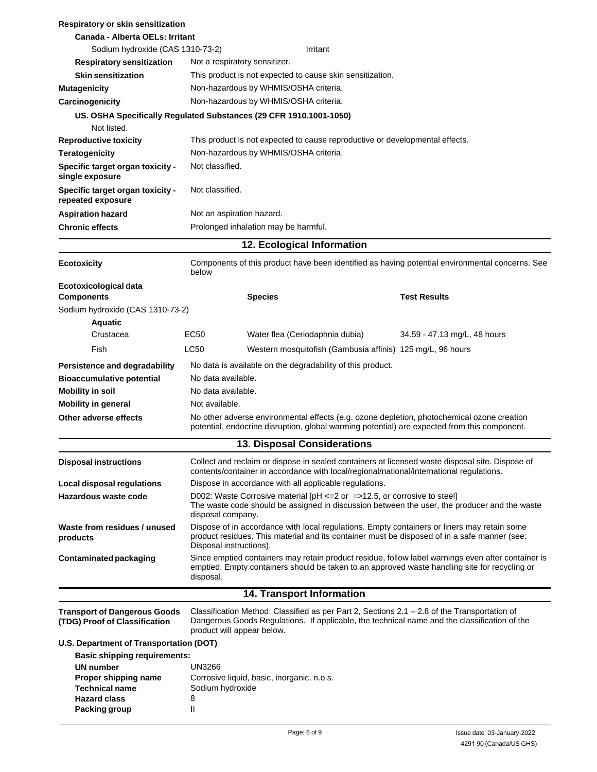| Respiratory or skin sensitization                                    |                               |                                            |                                                                              |                                                                                                                                                                                                     |
|----------------------------------------------------------------------|-------------------------------|--------------------------------------------|------------------------------------------------------------------------------|-----------------------------------------------------------------------------------------------------------------------------------------------------------------------------------------------------|
| Canada - Alberta OELs: Irritant                                      |                               |                                            |                                                                              |                                                                                                                                                                                                     |
| Sodium hydroxide (CAS 1310-73-2)                                     |                               |                                            | Irritant                                                                     |                                                                                                                                                                                                     |
| <b>Respiratory sensitization</b><br><b>Skin sensitization</b>        | Not a respiratory sensitizer. |                                            |                                                                              |                                                                                                                                                                                                     |
| <b>Mutagenicity</b>                                                  |                               | Non-hazardous by WHMIS/OSHA criteria.      | This product is not expected to cause skin sensitization.                    |                                                                                                                                                                                                     |
| Carcinogenicity                                                      |                               | Non-hazardous by WHMIS/OSHA criteria.      |                                                                              |                                                                                                                                                                                                     |
| US. OSHA Specifically Regulated Substances (29 CFR 1910.1001-1050)   |                               |                                            |                                                                              |                                                                                                                                                                                                     |
| Not listed.                                                          |                               |                                            |                                                                              |                                                                                                                                                                                                     |
| <b>Reproductive toxicity</b>                                         |                               |                                            | This product is not expected to cause reproductive or developmental effects. |                                                                                                                                                                                                     |
| <b>Teratogenicity</b>                                                |                               | Non-hazardous by WHMIS/OSHA criteria.      |                                                                              |                                                                                                                                                                                                     |
| Specific target organ toxicity -<br>single exposure                  | Not classified.               |                                            |                                                                              |                                                                                                                                                                                                     |
| Specific target organ toxicity -<br>repeated exposure                | Not classified.               |                                            |                                                                              |                                                                                                                                                                                                     |
| <b>Aspiration hazard</b>                                             | Not an aspiration hazard.     |                                            |                                                                              |                                                                                                                                                                                                     |
| <b>Chronic effects</b>                                               |                               | Prolonged inhalation may be harmful.       |                                                                              |                                                                                                                                                                                                     |
|                                                                      |                               |                                            | 12. Ecological Information                                                   |                                                                                                                                                                                                     |
| <b>Ecotoxicity</b>                                                   | below                         |                                            |                                                                              | Components of this product have been identified as having potential environmental concerns. See                                                                                                     |
| Ecotoxicological data                                                |                               |                                            |                                                                              |                                                                                                                                                                                                     |
| <b>Components</b>                                                    |                               | <b>Species</b>                             |                                                                              | <b>Test Results</b>                                                                                                                                                                                 |
| Sodium hydroxide (CAS 1310-73-2)<br>Aquatic                          |                               |                                            |                                                                              |                                                                                                                                                                                                     |
| Crustacea                                                            | EC50                          |                                            | Water flea (Ceriodaphnia dubia)                                              | 34.59 - 47.13 mg/L, 48 hours                                                                                                                                                                        |
| Fish                                                                 | LC50                          |                                            | Western mosquitofish (Gambusia affinis) 125 mg/L, 96 hours                   |                                                                                                                                                                                                     |
|                                                                      |                               |                                            |                                                                              |                                                                                                                                                                                                     |
| Persistence and degradability<br><b>Bioaccumulative potential</b>    | No data available.            |                                            | No data is available on the degradability of this product.                   |                                                                                                                                                                                                     |
| <b>Mobility in soil</b>                                              | No data available.            |                                            |                                                                              |                                                                                                                                                                                                     |
| <b>Mobility in general</b>                                           | Not available.                |                                            |                                                                              |                                                                                                                                                                                                     |
| Other adverse effects                                                |                               |                                            |                                                                              | No other adverse environmental effects (e.g. ozone depletion, photochemical ozone creation<br>potential, endocrine disruption, global warming potential) are expected from this component.          |
|                                                                      |                               |                                            | <b>13. Disposal Considerations</b>                                           |                                                                                                                                                                                                     |
| <b>Disposal instructions</b>                                         |                               |                                            |                                                                              | Collect and reclaim or dispose in sealed containers at licensed waste disposal site. Dispose of<br>contents/container in accordance with local/regional/national/international regulations.         |
| <b>Local disposal regulations</b>                                    |                               |                                            | Dispose in accordance with all applicable regulations.                       |                                                                                                                                                                                                     |
| Hazardous waste code                                                 | disposal company.             |                                            | D002: Waste Corrosive material [pH <= 2 or = > 12.5, or corrosive to steel]  | The waste code should be assigned in discussion between the user, the producer and the waste                                                                                                        |
| Waste from residues / unused<br>products                             | Disposal instructions).       |                                            |                                                                              | Dispose of in accordance with local regulations. Empty containers or liners may retain some<br>product residues. This material and its container must be disposed of in a safe manner (see:         |
| <b>Contaminated packaging</b>                                        | disposal.                     |                                            |                                                                              | Since emptied containers may retain product residue, follow label warnings even after container is<br>emptied. Empty containers should be taken to an approved waste handling site for recycling or |
|                                                                      |                               |                                            | 14. Transport Information                                                    |                                                                                                                                                                                                     |
| <b>Transport of Dangerous Goods</b><br>(TDG) Proof of Classification | product will appear below.    |                                            |                                                                              | Classification Method: Classified as per Part 2, Sections $2.1 - 2.8$ of the Transportation of<br>Dangerous Goods Regulations. If applicable, the technical name and the classification of the      |
| U.S. Department of Transportation (DOT)                              |                               |                                            |                                                                              |                                                                                                                                                                                                     |
| <b>Basic shipping requirements:</b>                                  |                               |                                            |                                                                              |                                                                                                                                                                                                     |
| <b>UN</b> number                                                     | UN3266                        |                                            |                                                                              |                                                                                                                                                                                                     |
| Proper shipping name<br><b>Technical name</b>                        | Sodium hydroxide              | Corrosive liquid, basic, inorganic, n.o.s. |                                                                              |                                                                                                                                                                                                     |
| <b>Hazard class</b>                                                  | 8                             |                                            |                                                                              |                                                                                                                                                                                                     |
| <b>Packing group</b>                                                 | Ш                             |                                            |                                                                              |                                                                                                                                                                                                     |
|                                                                      |                               |                                            |                                                                              |                                                                                                                                                                                                     |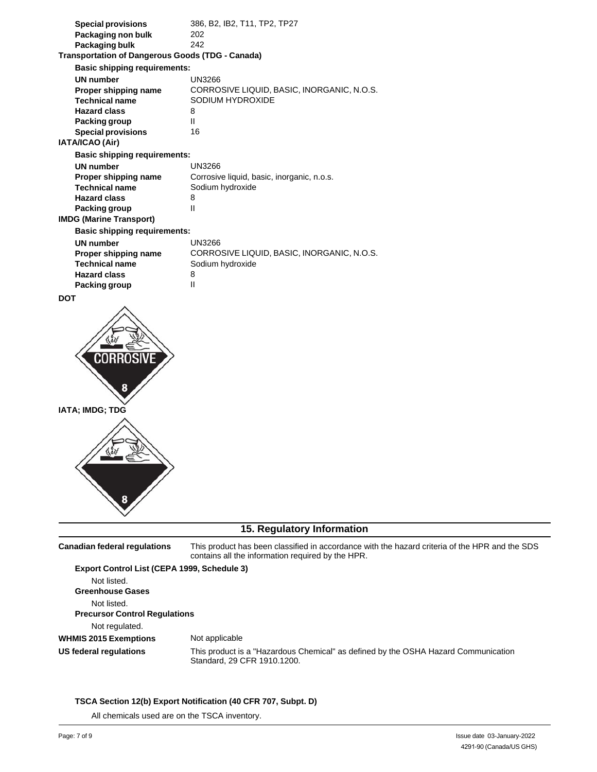| <b>Special provisions</b>                               | 386, B2, IB2, T11, TP2, TP27               |
|---------------------------------------------------------|--------------------------------------------|
| Packaging non bulk                                      | 202                                        |
| Packaging bulk                                          | 242                                        |
| <b>Transportation of Dangerous Goods (TDG - Canada)</b> |                                            |
| <b>Basic shipping requirements:</b>                     |                                            |
| UN number                                               | UN3266                                     |
| Proper shipping name                                    | CORROSIVE LIQUID, BASIC, INORGANIC, N.O.S. |
| <b>Technical name</b>                                   | SODIUM HYDROXIDE                           |
| <b>Hazard class</b>                                     | 8                                          |
| Packing group                                           | Ш                                          |
| <b>Special provisions</b>                               | 16                                         |
| IATA/ICAO (Air)                                         |                                            |
| <b>Basic shipping requirements:</b>                     |                                            |
| <b>UN</b> number                                        | UN3266                                     |
| Proper shipping name                                    | Corrosive liquid, basic, inorganic, n.o.s. |
| <b>Technical name</b>                                   | Sodium hydroxide                           |
| <b>Hazard class</b>                                     | 8                                          |
| Packing group                                           | Ш                                          |
| <b>IMDG (Marine Transport)</b>                          |                                            |
| <b>Basic shipping requirements:</b>                     |                                            |
| <b>UN number</b>                                        | UN3266                                     |
| Proper shipping name                                    | CORROSIVE LIQUID, BASIC, INORGANIC, N.O.S. |
| <b>Technical name</b>                                   | Sodium hydroxide                           |
| <b>Hazard class</b>                                     | 8                                          |
| Packing group                                           | $\mathsf{II}$                              |
|                                                         |                                            |

**DOT**





### **15. Regulatory Information**

**Canadian federal regulations** This product has been classified in accordance with the hazard criteria of the HPR and the SDS contains all the information required by the HPR. **Export Control List (CEPA 1999, Schedule 3)**

Not listed. **Greenhouse Gases** Not listed. **Precursor Control Regulations** Not regulated. **WHMIS 2015 Exemptions US federal regulations** Not applicable This product is a "Hazardous Chemical" as defined by the OSHA Hazard Communication Standard, 29 CFR 1910.1200.

#### **TSCA Section 12(b) Export Notification (40 CFR 707, Subpt. D)**

All chemicals used are on the TSCA inventory.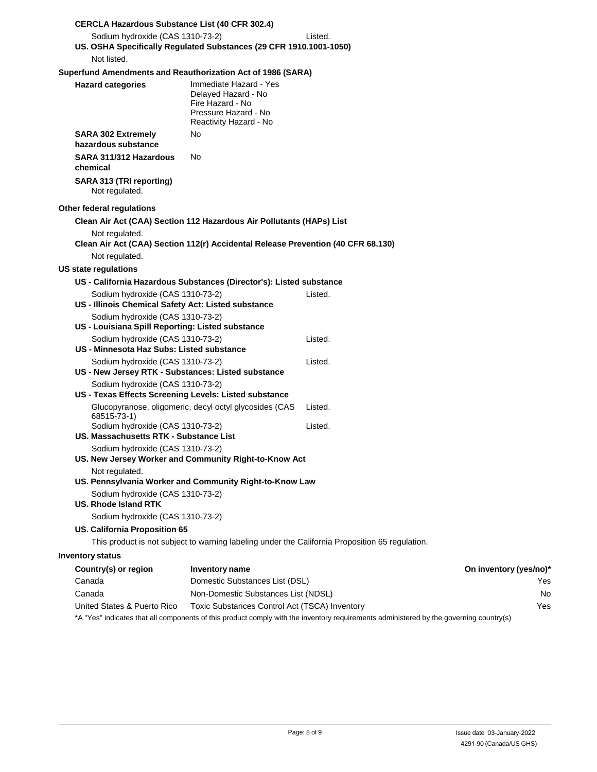| <b>CERCLA Hazardous Substance List (40 CFR 302.4)</b>                         |                                                                                                                     |                                                                                                 |                        |
|-------------------------------------------------------------------------------|---------------------------------------------------------------------------------------------------------------------|-------------------------------------------------------------------------------------------------|------------------------|
| Sodium hydroxide (CAS 1310-73-2)                                              | US. OSHA Specifically Regulated Substances (29 CFR 1910.1001-1050)                                                  | Listed.                                                                                         |                        |
| Not listed.                                                                   |                                                                                                                     |                                                                                                 |                        |
|                                                                               |                                                                                                                     |                                                                                                 |                        |
| Superfund Amendments and Reauthorization Act of 1986 (SARA)                   |                                                                                                                     |                                                                                                 |                        |
| <b>Hazard categories</b>                                                      | Immediate Hazard - Yes<br>Delayed Hazard - No<br>Fire Hazard - No<br>Pressure Hazard - No<br>Reactivity Hazard - No |                                                                                                 |                        |
| <b>SARA 302 Extremely</b><br>hazardous substance                              | No.                                                                                                                 |                                                                                                 |                        |
| SARA 311/312 Hazardous<br>chemical                                            | No.                                                                                                                 |                                                                                                 |                        |
| SARA 313 (TRI reporting)                                                      |                                                                                                                     |                                                                                                 |                        |
| Not regulated.                                                                |                                                                                                                     |                                                                                                 |                        |
| Other federal regulations                                                     |                                                                                                                     |                                                                                                 |                        |
|                                                                               | Clean Air Act (CAA) Section 112 Hazardous Air Pollutants (HAPs) List                                                |                                                                                                 |                        |
| Not regulated.                                                                | Clean Air Act (CAA) Section 112(r) Accidental Release Prevention (40 CFR 68.130)                                    |                                                                                                 |                        |
| Not regulated.                                                                |                                                                                                                     |                                                                                                 |                        |
| US state regulations                                                          |                                                                                                                     |                                                                                                 |                        |
|                                                                               | US - California Hazardous Substances (Director's): Listed substance                                                 |                                                                                                 |                        |
| Sodium hydroxide (CAS 1310-73-2)                                              |                                                                                                                     | Listed.                                                                                         |                        |
| US - Illinois Chemical Safety Act: Listed substance                           |                                                                                                                     |                                                                                                 |                        |
| Sodium hydroxide (CAS 1310-73-2)                                              |                                                                                                                     |                                                                                                 |                        |
| US - Louisiana Spill Reporting: Listed substance                              |                                                                                                                     |                                                                                                 |                        |
| Sodium hydroxide (CAS 1310-73-2)<br>US - Minnesota Haz Subs: Listed substance |                                                                                                                     | Listed.                                                                                         |                        |
| Sodium hydroxide (CAS 1310-73-2)                                              |                                                                                                                     | Listed.                                                                                         |                        |
| US - New Jersey RTK - Substances: Listed substance                            |                                                                                                                     |                                                                                                 |                        |
| Sodium hydroxide (CAS 1310-73-2)                                              |                                                                                                                     |                                                                                                 |                        |
| US - Texas Effects Screening Levels: Listed substance                         |                                                                                                                     |                                                                                                 |                        |
| 68515-73-1)                                                                   | Glucopyranose, oligomeric, decyl octyl glycosides (CAS                                                              | Listed.                                                                                         |                        |
| Sodium hydroxide (CAS 1310-73-2)                                              |                                                                                                                     | Listed.                                                                                         |                        |
| US. Massachusetts RTK - Substance List                                        |                                                                                                                     |                                                                                                 |                        |
| Sodium hydroxide (CAS 1310-73-2)                                              | US. New Jersey Worker and Community Right-to-Know Act                                                               |                                                                                                 |                        |
| Not regulated.                                                                | US. Pennsylvania Worker and Community Right-to-Know Law                                                             |                                                                                                 |                        |
| Sodium hydroxide (CAS 1310-73-2)<br><b>US. Rhode Island RTK</b>               |                                                                                                                     |                                                                                                 |                        |
| Sodium hydroxide (CAS 1310-73-2)                                              |                                                                                                                     |                                                                                                 |                        |
| US. California Proposition 65                                                 |                                                                                                                     |                                                                                                 |                        |
|                                                                               |                                                                                                                     | This product is not subject to warning labeling under the California Proposition 65 regulation. |                        |
| <b>Inventory status</b>                                                       |                                                                                                                     |                                                                                                 |                        |
| Country(s) or region                                                          | Inventory name                                                                                                      |                                                                                                 | On inventory (yes/no)* |
| Canada                                                                        | Domestic Substances List (DSL)                                                                                      |                                                                                                 | Yes                    |

| Canada                      | Non-Domestic Substances List (NDSL)           |
|-----------------------------|-----------------------------------------------|
| United States & Puerto Rico | Toxic Substances Control Act (TSCA) Inventory |

\*A "Yes" indicates that all components of this product comply with the inventory requirements administered by the governing country(s)

No Yes